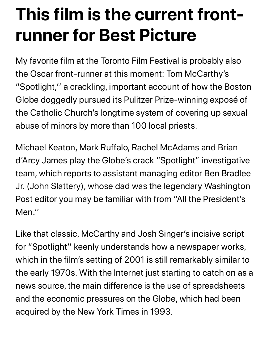## **This film is the current frontrunner for Best Picture**

My favorite film at the Toronto Film Festival is probably also the Oscar front-runner at this moment: Tom McCarthy's "Spotlight,'' a crackling, important account of how the Boston Globe doggedly pursued its Pulitzer Prize-winning exposé of the Catholic Church's longtime system of covering up sexual abuse of minors by more than 100 local priests.

Michael Keaton, Mark Ruffalo, Rachel McAdams and Brian d'Arcy James play the Globe's crack "Spotlight" investigative team, which reports to assistant managing editor Ben Bradlee Jr. (John Slattery), whose dad was the legendary Washington Post editor you may be familiar with from "All the President's Men.''

Like that classic, McCarthy and Josh Singer's incisive script for "Spotlight'' keenly understands how a newspaper works, which in the film's setting of 2001 is still remarkably similar to the early 1970s. With the Internet just starting to catch on as a news source, the main difference is the use of spreadsheets and the economic pressures on the Globe, which had been acquired by the New York Times in 1993.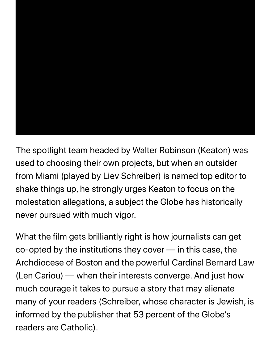

The spotlight team headed by Walter Robinson (Keaton) was used to choosing their own projects, but when an outsider from Miami (played by Liev Schreiber) is named top editor to shake things up, he strongly urges Keaton to focus on the molestation allegations, a subject the Globe has historically never pursued with much vigor.

What the film gets brilliantly right is how journalists can get co-opted by the institutions they cover — in this case, the Archdiocese of Boston and the powerful Cardinal Bernard Law (Len Cariou) — when their interests converge. And just how much courage it takes to pursue a story that may alienate many of your readers (Schreiber, whose character is Jewish, is informed by the publisher that 53 percent of the Globe's readers are Catholic).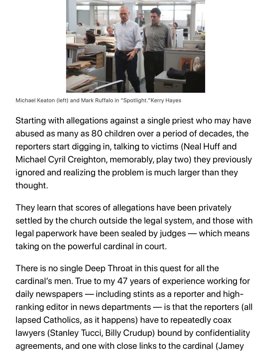

Michael Keaton (left) and Mark Ruffalo in "Spotlight."Kerry Hayes

Starting with allegations against a single priest who may have abused as many as 80 children over a period of decades, the reporters start digging in, talking to victims (Neal Huff and Michael Cyril Creighton, memorably, play two) they previously ignored and realizing the problem is much larger than they thought.

They learn that scores of allegations have been privately settled by the church outside the legal system, and those with legal paperwork have been sealed by judges — which means taking on the powerful cardinal in court.

There is no single Deep Throat in this quest for all the cardinal's men. True to my 47 years of experience working for daily newspapers — including stints as a reporter and highranking editor in news departments — is that the reporters (all lapsed Catholics, as it happens) have to repeatedly coax lawyers (Stanley Tucci, Billy Crudup) bound by confidentiality agreements, and one with close links to the cardinal (Jamey